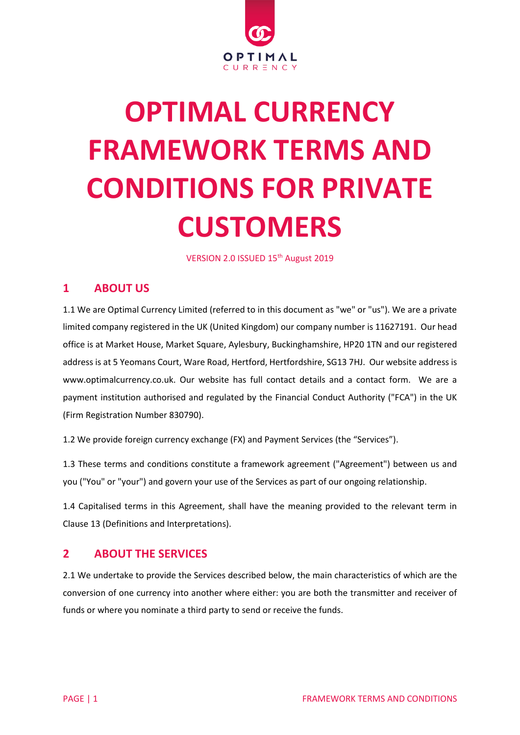

# **OPTIMAL CURRENCY FRAMEWORK TERMS AND CONDITIONS FOR PRIVATE CUSTOMERS**

VERSION 2.0 ISSUED 15<sup>th</sup> August 2019

# **1 ABOUT US**

1.1 We are Optimal Currency Limited (referred to in this document as "we" or "us"). We are a private limited company registered in the UK (United Kingdom) our company number is 11627191. Our head office is at Market House, Market Square, Aylesbury, Buckinghamshire, HP20 1TN and our registered address is at 5 Yeomans Court, Ware Road, Hertford, Hertfordshire, SG13 7HJ. Our website address is www.optimalcurrency.co.uk. Our website has full contact details and a contact form. We are a payment institution authorised and regulated by the Financial Conduct Authority ("FCA") in the UK (Firm Registration Number 830790).

1.2 We provide foreign currency exchange (FX) and Payment Services (the "Services").

1.3 These terms and conditions constitute a framework agreement ("Agreement") between us and you ("You" or "your") and govern your use of the Services as part of our ongoing relationship.

1.4 Capitalised terms in this Agreement, shall have the meaning provided to the relevant term in Clause 13 (Definitions and Interpretations).

# **2 ABOUT THE SERVICES**

2.1 We undertake to provide the Services described below, the main characteristics of which are the conversion of one currency into another where either: you are both the transmitter and receiver of funds or where you nominate a third party to send or receive the funds.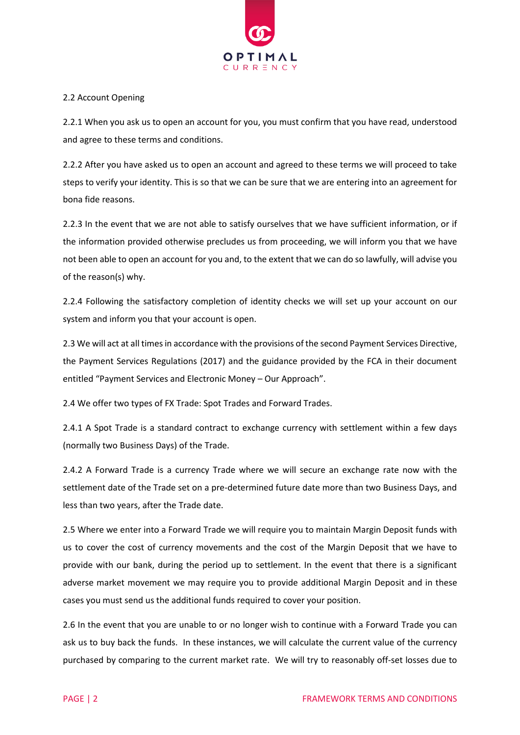

#### 2.2 Account Opening

2.2.1 When you ask us to open an account for you, you must confirm that you have read, understood and agree to these terms and conditions.

2.2.2 After you have asked us to open an account and agreed to these terms we will proceed to take steps to verify your identity. This is so that we can be sure that we are entering into an agreement for bona fide reasons.

2.2.3 In the event that we are not able to satisfy ourselves that we have sufficient information, or if the information provided otherwise precludes us from proceeding, we will inform you that we have not been able to open an account for you and, to the extent that we can do so lawfully, will advise you of the reason(s) why.

2.2.4 Following the satisfactory completion of identity checks we will set up your account on our system and inform you that your account is open.

2.3 We will act at all times in accordance with the provisions of the second Payment Services Directive, the Payment Services Regulations (2017) and the guidance provided by the FCA in their document entitled "Payment Services and Electronic Money – Our Approach".

2.4 We offer two types of FX Trade: Spot Trades and Forward Trades.

2.4.1 A Spot Trade is a standard contract to exchange currency with settlement within a few days (normally two Business Days) of the Trade.

2.4.2 A Forward Trade is a currency Trade where we will secure an exchange rate now with the settlement date of the Trade set on a pre-determined future date more than two Business Days, and less than two years, after the Trade date.

2.5 Where we enter into a Forward Trade we will require you to maintain Margin Deposit funds with us to cover the cost of currency movements and the cost of the Margin Deposit that we have to provide with our bank, during the period up to settlement. In the event that there is a significant adverse market movement we may require you to provide additional Margin Deposit and in these cases you must send us the additional funds required to cover your position.

2.6 In the event that you are unable to or no longer wish to continue with a Forward Trade you can ask us to buy back the funds. In these instances, we will calculate the current value of the currency purchased by comparing to the current market rate. We will try to reasonably off-set losses due to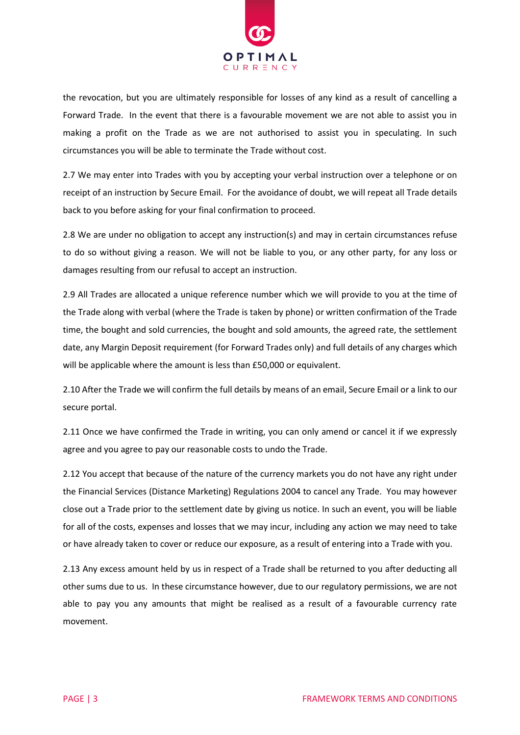

the revocation, but you are ultimately responsible for losses of any kind as a result of cancelling a Forward Trade. In the event that there is a favourable movement we are not able to assist you in making a profit on the Trade as we are not authorised to assist you in speculating. In such circumstances you will be able to terminate the Trade without cost.

2.7 We may enter into Trades with you by accepting your verbal instruction over a telephone or on receipt of an instruction by Secure Email. For the avoidance of doubt, we will repeat all Trade details back to you before asking for your final confirmation to proceed.

2.8 We are under no obligation to accept any instruction(s) and may in certain circumstances refuse to do so without giving a reason. We will not be liable to you, or any other party, for any loss or damages resulting from our refusal to accept an instruction.

2.9 All Trades are allocated a unique reference number which we will provide to you at the time of the Trade along with verbal (where the Trade is taken by phone) or written confirmation of the Trade time, the bought and sold currencies, the bought and sold amounts, the agreed rate, the settlement date, any Margin Deposit requirement (for Forward Trades only) and full details of any charges which will be applicable where the amount is less than £50,000 or equivalent.

2.10 After the Trade we will confirm the full details by means of an email, Secure Email or a link to our secure portal.

2.11 Once we have confirmed the Trade in writing, you can only amend or cancel it if we expressly agree and you agree to pay our reasonable costs to undo the Trade.

2.12 You accept that because of the nature of the currency markets you do not have any right under the Financial Services (Distance Marketing) Regulations 2004 to cancel any Trade. You may however close out a Trade prior to the settlement date by giving us notice. In such an event, you will be liable for all of the costs, expenses and losses that we may incur, including any action we may need to take or have already taken to cover or reduce our exposure, as a result of entering into a Trade with you.

2.13 Any excess amount held by us in respect of a Trade shall be returned to you after deducting all other sums due to us. In these circumstance however, due to our regulatory permissions, we are not able to pay you any amounts that might be realised as a result of a favourable currency rate movement.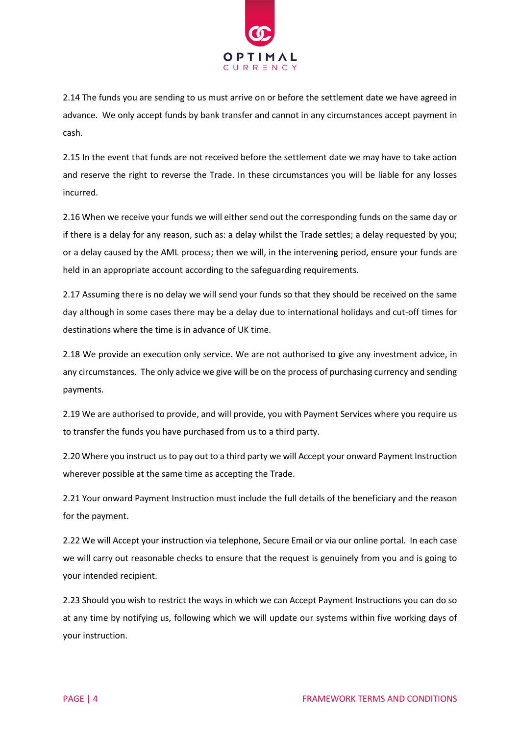

2.14 The funds you are sending to us must arrive on or before the settlement date we have agreed in advance. We only accept funds by bank transfer and cannot in any circumstances accept payment in cash.

2.15 In the event that funds are not received before the settlement date we may have to take action and reserve the right to reverse the Trade. In these circumstances you will be liable for any losses incurred.

2.16 When we receive your funds we will either send out the corresponding funds on the same day or if there is a delay for any reason, such as: a delay whilst the Trade settles; a delay requested by you; or a delay caused by the AML process; then we will, in the intervening period, ensure your funds are held in an appropriate account according to the safeguarding requirements.

2.17 Assuming there is no delay we will send your funds so that they should be received on the same day although in some cases there may be a delay due to international holidays and cut-off times for destinations where the time is in advance of UK time.

2.18 We provide an execution only service. We are not authorised to give any investment advice, in any circumstances. The only advice we give will be on the process of purchasing currency and sending payments.

2.19 We are authorised to provide, and will provide, you with Payment Services where you require us to transfer the funds you have purchased from us to a third party.

2.20 Where you instruct us to pay out to a third party we will Accept your onward Payment Instruction wherever possible at the same time as accepting the Trade.

2.21 Your onward Payment Instruction must include the full details of the beneficiary and the reason for the payment.

2.22 We will Accept your instruction via telephone, Secure Email or via our online portal. In each case we will carry out reasonable checks to ensure that the request is genuinely from you and is going to your intended recipient.

2.23 Should you wish to restrict the ways in which we can Accept Payment Instructions you can do so at any time by notifying us, following which we will update our systems within five working days of your instruction.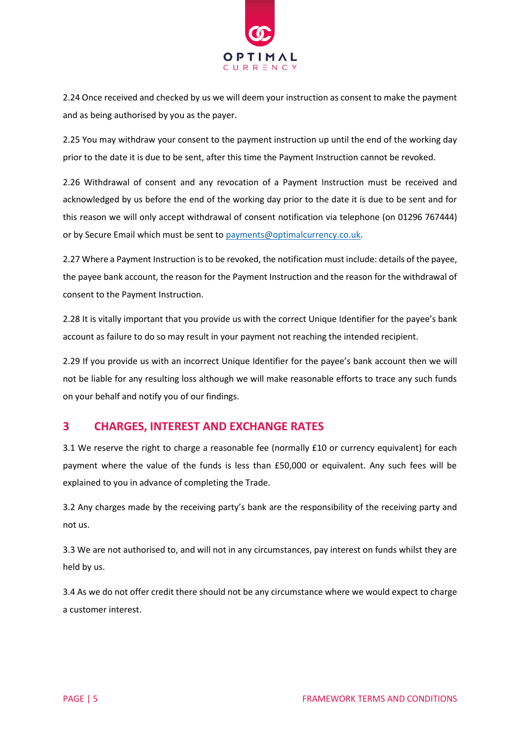

2.24 Once received and checked by us we will deem your instruction as consent to make the payment and as being authorised by you as the payer.

2.25 You may withdraw your consent to the payment instruction up until the end of the working day prior to the date it is due to be sent, after this time the Payment Instruction cannot be revoked.

2.26 Withdrawal of consent and any revocation of a Payment Instruction must be received and acknowledged by us before the end of the working day prior to the date it is due to be sent and for this reason we will only accept withdrawal of consent notification via telephone (on 01296 767444) or by Secure Email which must be sent to [payments@optimalcurrency.co.uk.](mailto:payments@optimalcurrency.co.uk)

2.27 Where a Payment Instruction is to be revoked, the notification must include: details of the payee, the payee bank account, the reason for the Payment Instruction and the reason for the withdrawal of consent to the Payment Instruction.

2.28 It is vitally important that you provide us with the correct Unique Identifier for the payee's bank account as failure to do so may result in your payment not reaching the intended recipient.

2.29 If you provide us with an incorrect Unique Identifier for the payee's bank account then we will not be liable for any resulting loss although we will make reasonable efforts to trace any such funds on your behalf and notify you of our findings.

# **3 CHARGES, INTEREST AND EXCHANGE RATES**

3.1 We reserve the right to charge a reasonable fee (normally £10 or currency equivalent) for each payment where the value of the funds is less than £50,000 or equivalent. Any such fees will be explained to you in advance of completing the Trade.

3.2 Any charges made by the receiving party's bank are the responsibility of the receiving party and not us.

3.3 We are not authorised to, and will not in any circumstances, pay interest on funds whilst they are held by us.

3.4 As we do not offer credit there should not be any circumstance where we would expect to charge a customer interest.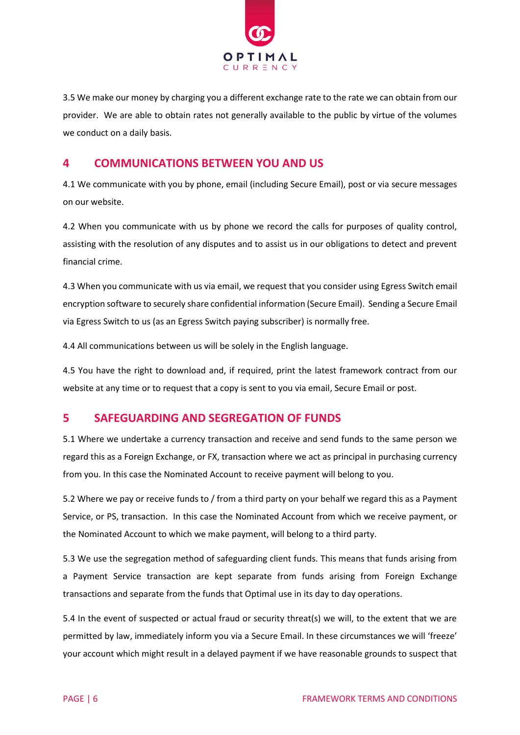

3.5 We make our money by charging you a different exchange rate to the rate we can obtain from our provider. We are able to obtain rates not generally available to the public by virtue of the volumes we conduct on a daily basis.

## **4 COMMUNICATIONS BETWEEN YOU AND US**

4.1 We communicate with you by phone, email (including Secure Email), post or via secure messages on our website.

4.2 When you communicate with us by phone we record the calls for purposes of quality control, assisting with the resolution of any disputes and to assist us in our obligations to detect and prevent financial crime.

4.3 When you communicate with us via email, we request that you consider using Egress Switch email encryption software to securely share confidential information (Secure Email). Sending a Secure Email via Egress Switch to us (as an Egress Switch paying subscriber) is normally free.

4.4 All communications between us will be solely in the English language.

4.5 You have the right to download and, if required, print the latest framework contract from our website at any time or to request that a copy is sent to you via email, Secure Email or post.

### **5 SAFEGUARDING AND SEGREGATION OF FUNDS**

5.1 Where we undertake a currency transaction and receive and send funds to the same person we regard this as a Foreign Exchange, or FX, transaction where we act as principal in purchasing currency from you. In this case the Nominated Account to receive payment will belong to you.

5.2 Where we pay or receive funds to / from a third party on your behalf we regard this as a Payment Service, or PS, transaction. In this case the Nominated Account from which we receive payment, or the Nominated Account to which we make payment, will belong to a third party.

5.3 We use the segregation method of safeguarding client funds. This means that funds arising from a Payment Service transaction are kept separate from funds arising from Foreign Exchange transactions and separate from the funds that Optimal use in its day to day operations.

5.4 In the event of suspected or actual fraud or security threat(s) we will, to the extent that we are permitted by law, immediately inform you via a Secure Email. In these circumstances we will 'freeze' your account which might result in a delayed payment if we have reasonable grounds to suspect that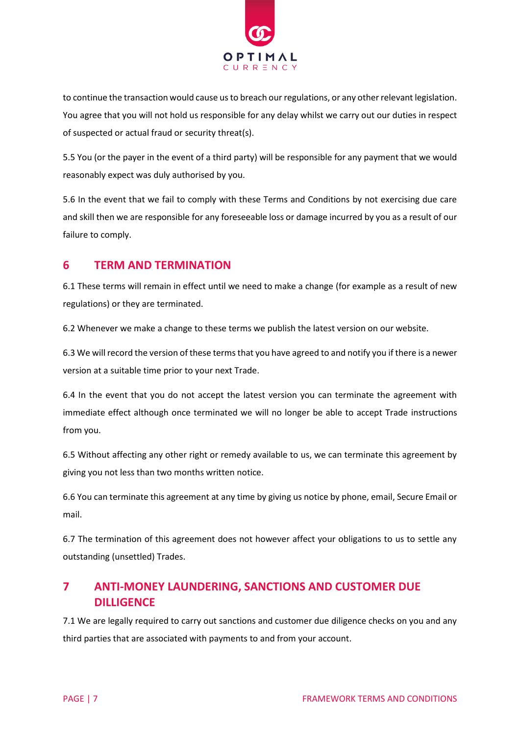

to continue the transaction would cause us to breach our regulations, or any other relevant legislation. You agree that you will not hold us responsible for any delay whilst we carry out our duties in respect of suspected or actual fraud or security threat(s).

5.5 You (or the payer in the event of a third party) will be responsible for any payment that we would reasonably expect was duly authorised by you.

5.6 In the event that we fail to comply with these Terms and Conditions by not exercising due care and skill then we are responsible for any foreseeable loss or damage incurred by you as a result of our failure to comply.

# **6 TERM AND TERMINATION**

6.1 These terms will remain in effect until we need to make a change (for example as a result of new regulations) or they are terminated.

6.2 Whenever we make a change to these terms we publish the latest version on our website.

6.3 We will record the version of these terms that you have agreed to and notify you if there is a newer version at a suitable time prior to your next Trade.

6.4 In the event that you do not accept the latest version you can terminate the agreement with immediate effect although once terminated we will no longer be able to accept Trade instructions from you.

6.5 Without affecting any other right or remedy available to us, we can terminate this agreement by giving you not less than two months written notice.

6.6 You can terminate this agreement at any time by giving us notice by phone, email, Secure Email or mail.

6.7 The termination of this agreement does not however affect your obligations to us to settle any outstanding (unsettled) Trades.

# **7 ANTI-MONEY LAUNDERING, SANCTIONS AND CUSTOMER DUE DILLIGENCE**

7.1 We are legally required to carry out sanctions and customer due diligence checks on you and any third parties that are associated with payments to and from your account.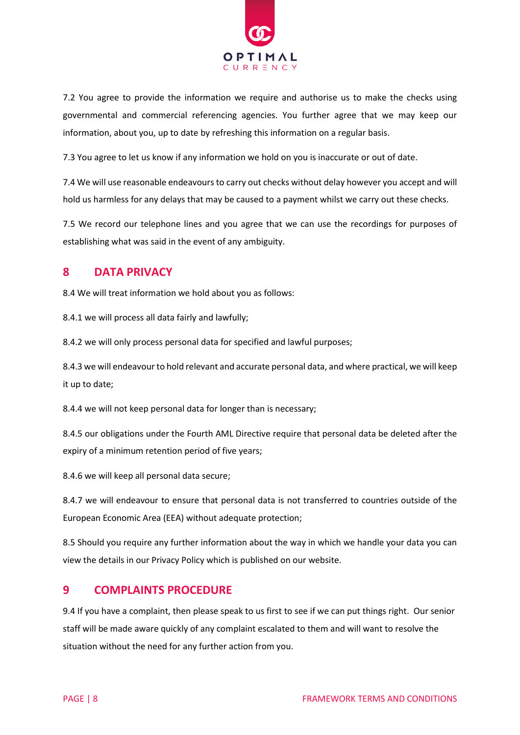

7.2 You agree to provide the information we require and authorise us to make the checks using governmental and commercial referencing agencies. You further agree that we may keep our information, about you, up to date by refreshing this information on a regular basis.

7.3 You agree to let us know if any information we hold on you is inaccurate or out of date.

7.4 We will use reasonable endeavours to carry out checks without delay however you accept and will hold us harmless for any delays that may be caused to a payment whilst we carry out these checks.

7.5 We record our telephone lines and you agree that we can use the recordings for purposes of establishing what was said in the event of any ambiguity.

# **8 DATA PRIVACY**

8.4 We will treat information we hold about you as follows:

8.4.1 we will process all data fairly and lawfully;

8.4.2 we will only process personal data for specified and lawful purposes;

8.4.3 we will endeavour to hold relevant and accurate personal data, and where practical, we will keep it up to date;

8.4.4 we will not keep personal data for longer than is necessary;

8.4.5 our obligations under the Fourth AML Directive require that personal data be deleted after the expiry of a minimum retention period of five years;

8.4.6 we will keep all personal data secure;

8.4.7 we will endeavour to ensure that personal data is not transferred to countries outside of the European Economic Area (EEA) without adequate protection;

8.5 Should you require any further information about the way in which we handle your data you can view the details in our Privacy Policy which is published on our website.

### **9 COMPLAINTS PROCEDURE**

9.4 If you have a complaint, then please speak to us first to see if we can put things right. Our senior staff will be made aware quickly of any complaint escalated to them and will want to resolve the situation without the need for any further action from you.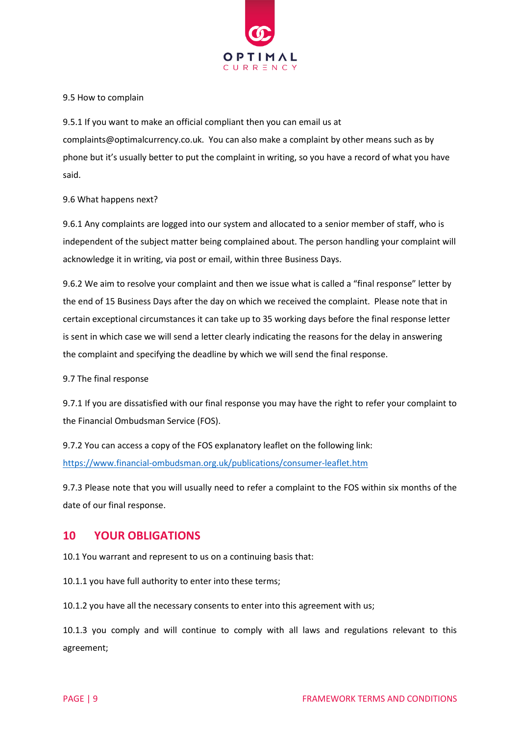

#### 9.5 How to complain

9.5.1 If you want to make an official compliant then you can email us at complaints@optimalcurrency.co.uk. You can also make a complaint by other means such as by phone but it's usually better to put the complaint in writing, so you have a record of what you have said.

#### 9.6 What happens next?

9.6.1 Any complaints are logged into our system and allocated to a senior member of staff, who is independent of the subject matter being complained about. The person handling your complaint will acknowledge it in writing, via post or email, within three Business Days.

9.6.2 We aim to resolve your complaint and then we issue what is called a "final response" letter by the end of 15 Business Days after the day on which we received the complaint. Please note that in certain exceptional circumstances it can take up to 35 working days before the final response letter is sent in which case we will send a letter clearly indicating the reasons for the delay in answering the complaint and specifying the deadline by which we will send the final response.

#### 9.7 The final response

9.7.1 If you are dissatisfied with our final response you may have the right to refer your complaint to the Financial Ombudsman Service (FOS).

9.7.2 You can access a copy of the FOS explanatory leaflet on the following link: <https://www.financial-ombudsman.org.uk/publications/consumer-leaflet.htm>

9.7.3 Please note that you will usually need to refer a complaint to the FOS within six months of the date of our final response.

#### **10 YOUR OBLIGATIONS**

10.1 You warrant and represent to us on a continuing basis that:

10.1.1 you have full authority to enter into these terms;

10.1.2 you have all the necessary consents to enter into this agreement with us;

10.1.3 you comply and will continue to comply with all laws and regulations relevant to this agreement;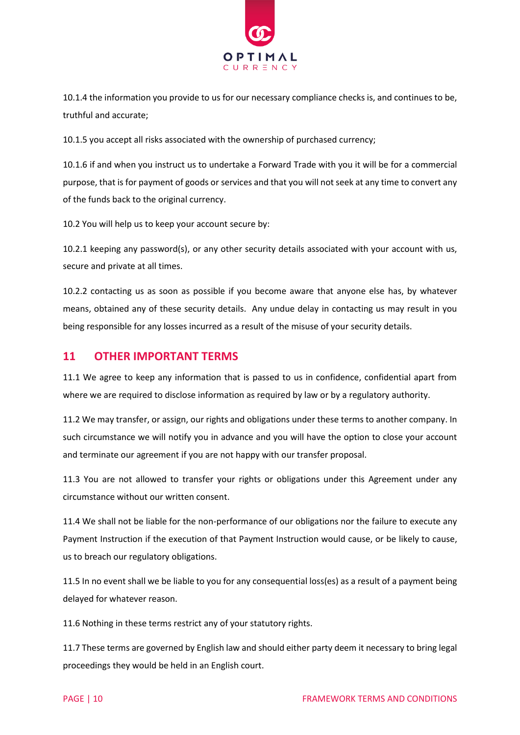

10.1.4 the information you provide to us for our necessary compliance checks is, and continues to be, truthful and accurate;

10.1.5 you accept all risks associated with the ownership of purchased currency;

10.1.6 if and when you instruct us to undertake a Forward Trade with you it will be for a commercial purpose, that is for payment of goods or services and that you will not seek at any time to convert any of the funds back to the original currency.

10.2 You will help us to keep your account secure by:

10.2.1 keeping any password(s), or any other security details associated with your account with us, secure and private at all times.

10.2.2 contacting us as soon as possible if you become aware that anyone else has, by whatever means, obtained any of these security details. Any undue delay in contacting us may result in you being responsible for any losses incurred as a result of the misuse of your security details.

### **11 OTHER IMPORTANT TERMS**

11.1 We agree to keep any information that is passed to us in confidence, confidential apart from where we are required to disclose information as required by law or by a regulatory authority.

11.2 We may transfer, or assign, our rights and obligations under these terms to another company. In such circumstance we will notify you in advance and you will have the option to close your account and terminate our agreement if you are not happy with our transfer proposal.

11.3 You are not allowed to transfer your rights or obligations under this Agreement under any circumstance without our written consent.

11.4 We shall not be liable for the non-performance of our obligations nor the failure to execute any Payment Instruction if the execution of that Payment Instruction would cause, or be likely to cause, us to breach our regulatory obligations.

11.5 In no event shall we be liable to you for any consequential loss(es) as a result of a payment being delayed for whatever reason.

11.6 Nothing in these terms restrict any of your statutory rights.

11.7 These terms are governed by English law and should either party deem it necessary to bring legal proceedings they would be held in an English court.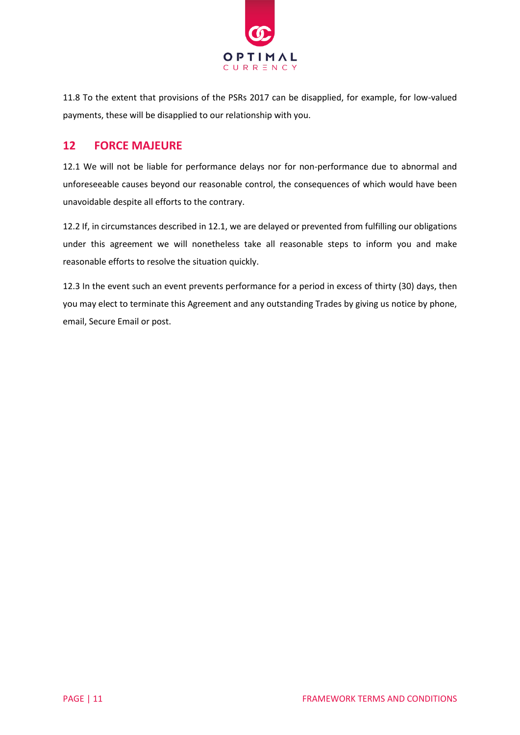

11.8 To the extent that provisions of the PSRs 2017 can be disapplied, for example, for low-valued payments, these will be disapplied to our relationship with you.

## **12 FORCE MAJEURE**

12.1 We will not be liable for performance delays nor for non-performance due to abnormal and unforeseeable causes beyond our reasonable control, the consequences of which would have been unavoidable despite all efforts to the contrary.

12.2 If, in circumstances described in 12.1, we are delayed or prevented from fulfilling our obligations under this agreement we will nonetheless take all reasonable steps to inform you and make reasonable efforts to resolve the situation quickly.

12.3 In the event such an event prevents performance for a period in excess of thirty (30) days, then you may elect to terminate this Agreement and any outstanding Trades by giving us notice by phone, email, Secure Email or post.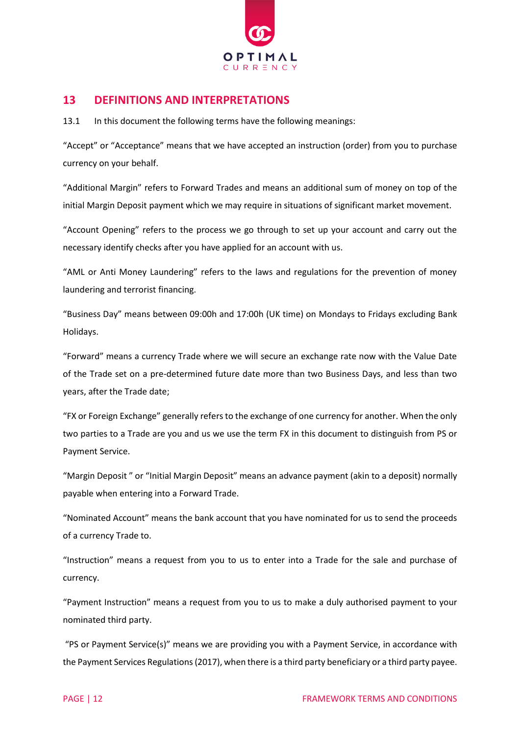

## **13 DEFINITIONS AND INTERPRETATIONS**

13.1 In this document the following terms have the following meanings:

"Accept" or "Acceptance" means that we have accepted an instruction (order) from you to purchase currency on your behalf.

"Additional Margin" refers to Forward Trades and means an additional sum of money on top of the initial Margin Deposit payment which we may require in situations of significant market movement.

"Account Opening" refers to the process we go through to set up your account and carry out the necessary identify checks after you have applied for an account with us.

"AML or Anti Money Laundering" refers to the laws and regulations for the prevention of money laundering and terrorist financing.

"Business Day" means between 09:00h and 17:00h (UK time) on Mondays to Fridays excluding Bank Holidays.

"Forward" means a currency Trade where we will secure an exchange rate now with the Value Date of the Trade set on a pre-determined future date more than two Business Days, and less than two years, after the Trade date;

"FX or Foreign Exchange" generally refers to the exchange of one currency for another. When the only two parties to a Trade are you and us we use the term FX in this document to distinguish from PS or Payment Service.

"Margin Deposit " or "Initial Margin Deposit" means an advance payment (akin to a deposit) normally payable when entering into a Forward Trade.

"Nominated Account" means the bank account that you have nominated for us to send the proceeds of a currency Trade to.

"Instruction" means a request from you to us to enter into a Trade for the sale and purchase of currency.

"Payment Instruction" means a request from you to us to make a duly authorised payment to your nominated third party.

"PS or Payment Service(s)" means we are providing you with a Payment Service, in accordance with the Payment Services Regulations(2017), when there is a third party beneficiary or a third party payee.